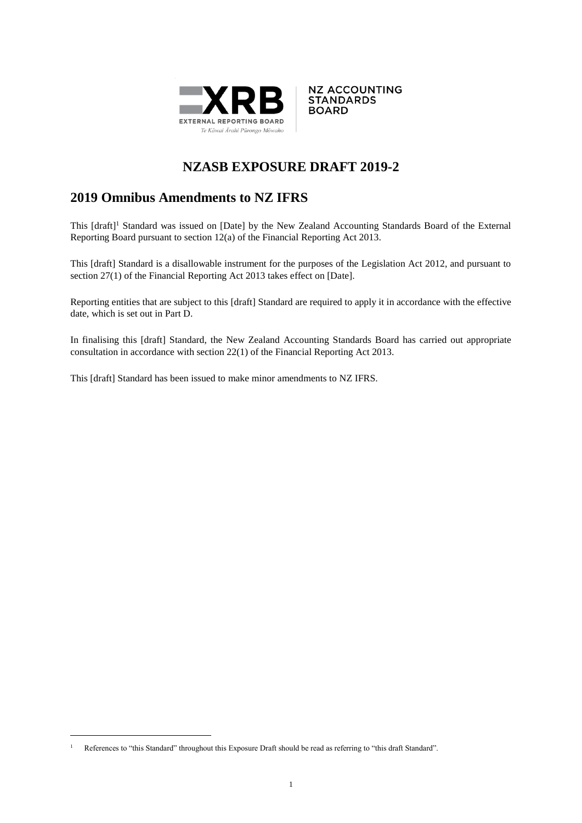



# **NZASB EXPOSURE DRAFT 2019-2**

## **2019 Omnibus Amendments to NZ IFRS**

This [draft]<sup>1</sup> Standard was issued on [Date] by the New Zealand Accounting Standards Board of the External Reporting Board pursuant to section 12(a) of the Financial Reporting Act 2013.

This [draft] Standard is a disallowable instrument for the purposes of the Legislation Act 2012, and pursuant to section 27(1) of the Financial Reporting Act 2013 takes effect on [Date].

Reporting entities that are subject to this [draft] Standard are required to apply it in accordance with the effective date, which is set out in Part D.

In finalising this [draft] Standard, the New Zealand Accounting Standards Board has carried out appropriate consultation in accordance with section 22(1) of the Financial Reporting Act 2013.

This [draft] Standard has been issued to make minor amendments to NZ IFRS.

<u>.</u>

<sup>&</sup>lt;sup>1</sup> References to "this Standard" throughout this Exposure Draft should be read as referring to "this draft Standard".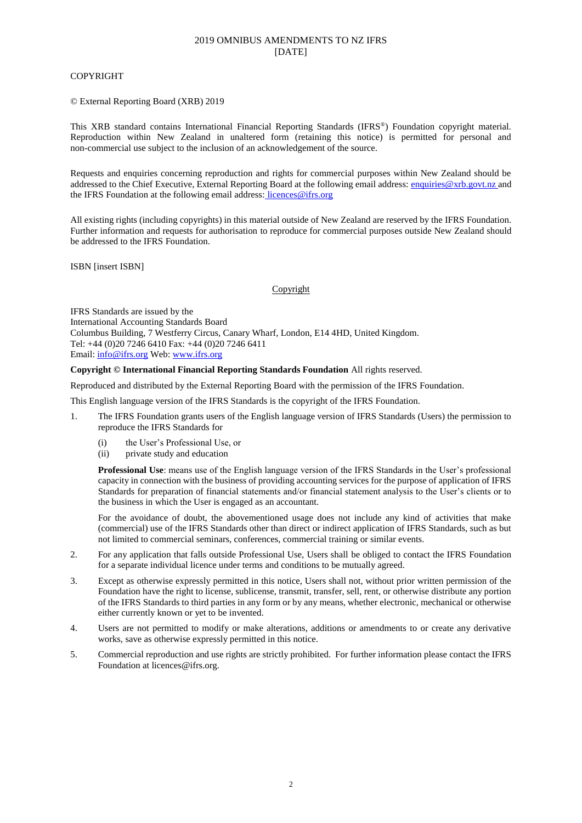#### COPYRIGHT

© External Reporting Board (XRB) 2019

This XRB standard contains International Financial Reporting Standards (IFRS® ) Foundation copyright material. Reproduction within New Zealand in unaltered form (retaining this notice) is permitted for personal and non-commercial use subject to the inclusion of an acknowledgement of the source.

Requests and enquiries concerning reproduction and rights for commercial purposes within New Zealand should be addressed to the Chief Executive, External Reporting Board at the following email address[: enquiries@xrb.govt.nz](mailto:enquiries@xrb.govt.nz) and the IFRS Foundation at the following email address: licences@ifrs.org

All existing rights (including copyrights) in this material outside of New Zealand are reserved by the IFRS Foundation. Further information and requests for authorisation to reproduce for commercial purposes outside New Zealand should be addressed to the IFRS Foundation.

ISBN [insert ISBN]

#### Copyright

IFRS Standards are issued by the International Accounting Standards Board Columbus Building, 7 Westferry Circus, Canary Wharf, London, E14 4HD, United Kingdom. Tel: +44 (0)20 7246 6410 Fax: +44 (0)20 7246 6411 Email[: info@ifrs.org](mailto:info@ifrs.org) Web: [www.ifrs.org](http://www.ifrs.org/)

#### **Copyright © International Financial Reporting Standards Foundation** All rights reserved.

Reproduced and distributed by the External Reporting Board with the permission of the IFRS Foundation.

This English language version of the IFRS Standards is the copyright of the IFRS Foundation.

- 1. The IFRS Foundation grants users of the English language version of IFRS Standards (Users) the permission to reproduce the IFRS Standards for
	- (i) the User's Professional Use, or
	- (ii) private study and education

**Professional Use**: means use of the English language version of the IFRS Standards in the User's professional capacity in connection with the business of providing accounting services for the purpose of application of IFRS Standards for preparation of financial statements and/or financial statement analysis to the User's clients or to the business in which the User is engaged as an accountant.

For the avoidance of doubt, the abovementioned usage does not include any kind of activities that make (commercial) use of the IFRS Standards other than direct or indirect application of IFRS Standards, such as but not limited to commercial seminars, conferences, commercial training or similar events.

- 2. For any application that falls outside Professional Use, Users shall be obliged to contact the IFRS Foundation for a separate individual licence under terms and conditions to be mutually agreed.
- 3. Except as otherwise expressly permitted in this notice, Users shall not, without prior written permission of the Foundation have the right to license, sublicense, transmit, transfer, sell, rent, or otherwise distribute any portion of the IFRS Standards to third parties in any form or by any means, whether electronic, mechanical or otherwise either currently known or yet to be invented.
- 4. Users are not permitted to modify or make alterations, additions or amendments to or create any derivative works, save as otherwise expressly permitted in this notice.
- 5. Commercial reproduction and use rights are strictly prohibited. For further information please contact the IFRS Foundation at licences@ifrs.org.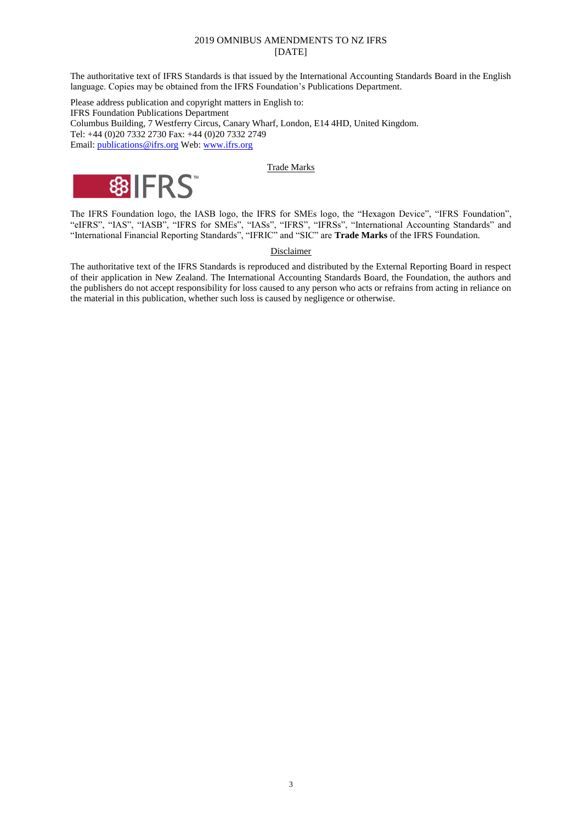The authoritative text of IFRS Standards is that issued by the International Accounting Standards Board in the English language. Copies may be obtained from the IFRS Foundation's Publications Department.

Please address publication and copyright matters in English to: IFRS Foundation Publications Department Columbus Building, 7 Westferry Circus, Canary Wharf, London, E14 4HD, United Kingdom. Tel: +44 (0)20 7332 2730 Fax: +44 (0)20 7332 2749 Email[: publications@ifrs.org](mailto:publications@ifrs.org) Web: [www.ifrs.org](http://www.ifrs.org/)

#### Trade Marks



The IFRS Foundation logo, the IASB logo, the IFRS for SMEs logo, the "Hexagon Device", "IFRS Foundation", "eIFRS", "IAS", "IASB", "IFRS for SMEs", "IASs", "IFRS", "IFRSs", "International Accounting Standards" and "International Financial Reporting Standards", "IFRIC" and "SIC" are **Trade Marks** of the IFRS Foundation.

#### **Disclaimer**

The authoritative text of the IFRS Standards is reproduced and distributed by the External Reporting Board in respect of their application in New Zealand. The International Accounting Standards Board, the Foundation, the authors and the publishers do not accept responsibility for loss caused to any person who acts or refrains from acting in reliance on the material in this publication, whether such loss is caused by negligence or otherwise.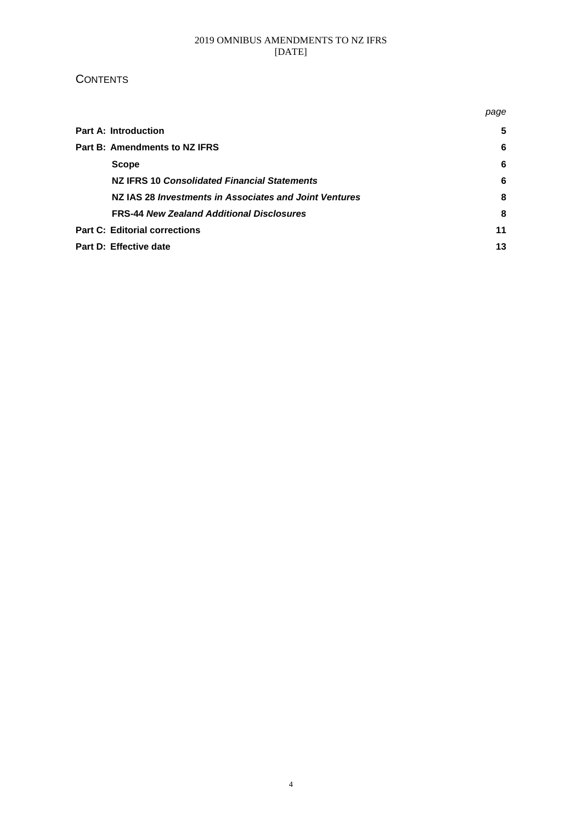### **CONTENTS**

|                                                        |                                                  | page |
|--------------------------------------------------------|--------------------------------------------------|------|
| <b>Part A: Introduction</b>                            |                                                  | 5    |
| Part B: Amendments to NZ IFRS                          |                                                  | 6    |
| <b>Scope</b>                                           |                                                  | 6    |
|                                                        | NZ IFRS 10 Consolidated Financial Statements     | 6    |
| NZ IAS 28 Investments in Associates and Joint Ventures |                                                  | 8    |
|                                                        | <b>FRS-44 New Zealand Additional Disclosures</b> | 8    |
| <b>Part C: Editorial corrections</b>                   |                                                  |      |
| Part D: Effective date                                 |                                                  | 13   |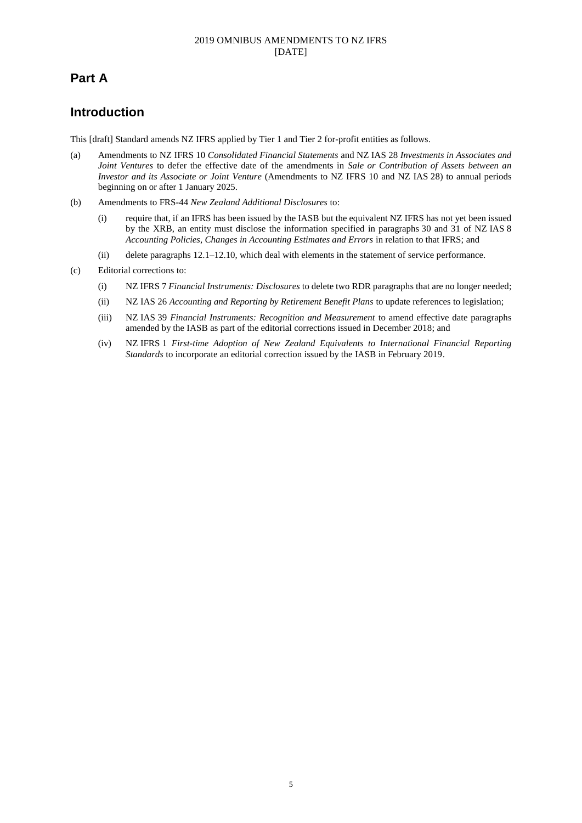## **Part A**

## **Introduction**

This [draft] Standard amends NZ IFRS applied by Tier 1 and Tier 2 for-profit entities as follows.

- (a) Amendments to NZ IFRS 10 *Consolidated Financial Statements* and NZ IAS 28 *Investments in Associates and Joint Ventures* to defer the effective date of the amendments in *Sale or Contribution of Assets between an Investor and its Associate or Joint Venture* (Amendments to NZ IFRS 10 and NZ IAS 28) to annual periods beginning on or after 1 January 2025.
- (b) Amendments to FRS-44 *New Zealand Additional Disclosures* to:
	- (i) require that, if an IFRS has been issued by the IASB but the equivalent NZ IFRS has not yet been issued by the XRB, an entity must disclose the information specified in paragraphs 30 and 31 of NZ IAS 8 *Accounting Policies, Changes in Accounting Estimates and Errors* in relation to that IFRS; and
	- (ii) delete paragraphs 12.1–12.10, which deal with elements in the statement of service performance.
- (c) Editorial corrections to:
	- (i) NZ IFRS 7 *Financial Instruments: Disclosures* to delete two RDR paragraphs that are no longer needed;
	- (ii) NZ IAS 26 *Accounting and Reporting by Retirement Benefit Plans* to update references to legislation;
	- (iii) NZ IAS 39 *Financial Instruments: Recognition and Measurement* to amend effective date paragraphs amended by the IASB as part of the editorial corrections issued in December 2018; and
	- (iv) NZ IFRS 1 *First-time Adoption of New Zealand Equivalents to International Financial Reporting Standards* to incorporate an editorial correction issued by the IASB in February 2019.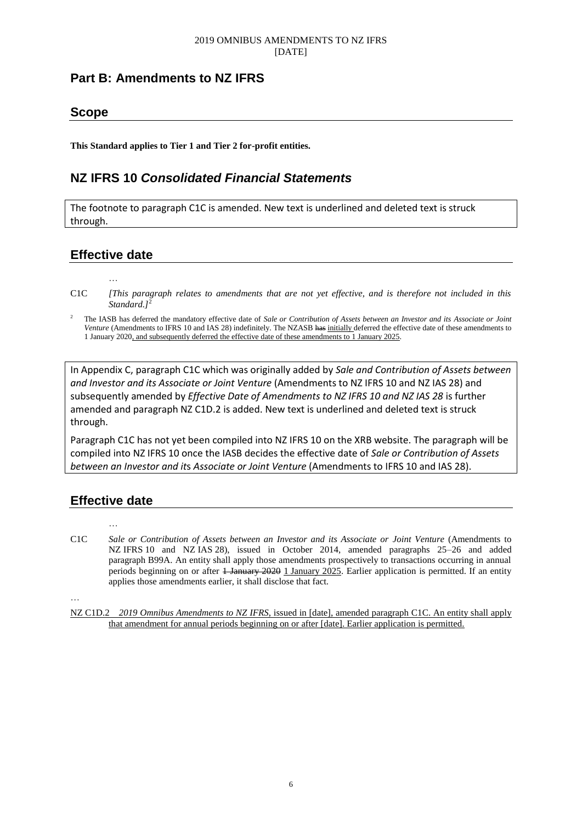## **Part B: Amendments to NZ IFRS**

### **Scope**

**This Standard applies to Tier 1 and Tier 2 for-profit entities.**

## **NZ IFRS 10** *Consolidated Financial Statements*

The footnote to paragraph C1C is amended. New text is underlined and deleted text is struck through.

## **Effective date**

…

C1C *[This paragraph relates to amendments that are not yet effective, and is therefore not included in this Standard.]*<sup>2</sup>

<sup>2</sup> The IASB has deferred the mandatory effective date of *Sale or Contribution of Assets between an Investor and its Associate or Joint Venture* (Amendments to IFRS 10 and IAS 28) indefinitely. The NZASB has initially deferred the effective date of these amendments to 1 January 2020, and subsequently deferred the effective date of these amendments to 1 January 2025.

In Appendix C, paragraph C1C which was originally added by *Sale and Contribution of Assets between and Investor and its Associate or Joint Venture* (Amendments to NZ IFRS 10 and NZ IAS 28) and subsequently amended by *Effective Date of Amendments to NZ IFRS 10 and NZ IAS 28* is further amended and paragraph NZ C1D.2 is added. New text is underlined and deleted text is struck through.

Paragraph C1C has not yet been compiled into NZ IFRS 10 on the XRB website. The paragraph will be compiled into NZ IFRS 10 once the IASB decides the effective date of *Sale or Contribution of Assets between an Investor and it*s *Associate or Joint Venture* (Amendments to IFRS 10 and IAS 28).

## **Effective date**

…

- C1C *Sale or Contribution of Assets between an Investor and its Associate or Joint Venture* (Amendments to NZ IFRS 10 and NZ IAS 28), issued in October 2014, amended paragraphs 25–26 and added paragraph B99A. An entity shall apply those amendments prospectively to transactions occurring in annual periods beginning on or after <del>1 January 2020</del> 1 January 2025. Earlier application is permitted. If an entity applies those amendments earlier, it shall disclose that fact.
- …

NZ C1D.2 *2019 Omnibus Amendments to NZ IFRS*, issued in [date], amended paragraph C1C. An entity shall apply that amendment for annual periods beginning on or after [date]. Earlier application is permitted.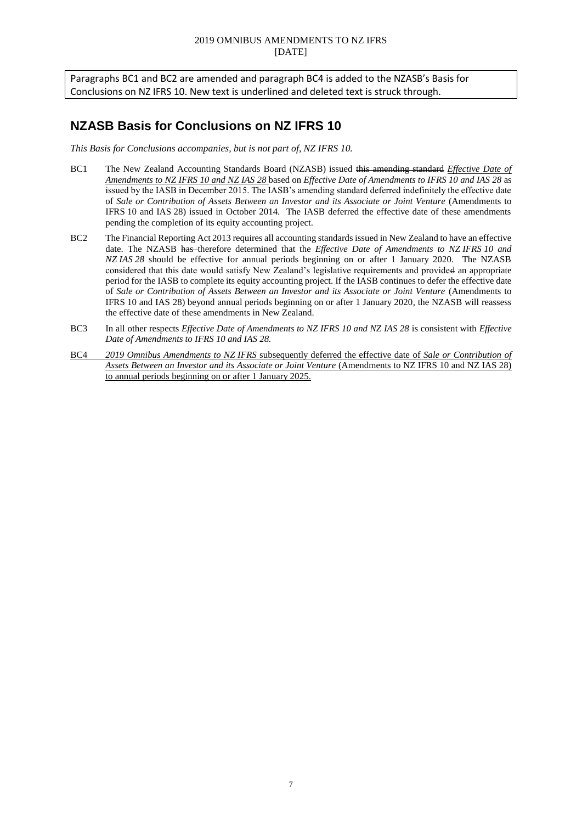Paragraphs BC1 and BC2 are amended and paragraph BC4 is added to the NZASB's Basis for Conclusions on NZ IFRS 10. New text is underlined and deleted text is struck through.

## **NZASB Basis for Conclusions on NZ IFRS 10**

*This Basis for Conclusions accompanies, but is not part of, NZ IFRS 10.*

- BC1 The New Zealand Accounting Standards Board (NZASB) issued this amending standard *Effective Date of Amendments to NZ IFRS 10 and NZ IAS 28* based on *Effective Date of Amendments to IFRS 10 and IAS 28* as issued by the IASB in December 2015. The IASB's amending standard deferred indefinitely the effective date of *Sale or Contribution of Assets Between an Investor and its Associate or Joint Venture* (Amendments to IFRS 10 and IAS 28) issued in October 2014. The IASB deferred the effective date of these amendments pending the completion of its equity accounting project.
- BC2 The Financial Reporting Act 2013 requires all accounting standards issued in New Zealand to have an effective date. The NZASB has therefore determined that the *Effective Date of Amendments to NZ IFRS 10 and NZ IAS 28* should be effective for annual periods beginning on or after 1 January 2020. The NZASB considered that this date would satisfy New Zealand's legislative requirements and provided an appropriate period for the IASB to complete its equity accounting project. If the IASB continues to defer the effective date of *Sale or Contribution of Assets Between an Investor and its Associate or Joint Venture* (Amendments to IFRS 10 and IAS 28) beyond annual periods beginning on or after 1 January 2020, the NZASB will reassess the effective date of these amendments in New Zealand.
- BC3 In all other respects *Effective Date of Amendments to NZ IFRS 10 and NZ IAS 28* is consistent with *Effective Date of Amendments to IFRS 10 and IAS 28.*
- BC4 *2019 Omnibus Amendments to NZ IFRS* subsequently deferred the effective date of *Sale or Contribution of Assets Between an Investor and its Associate or Joint Venture* (Amendments to NZ IFRS 10 and NZ IAS 28) to annual periods beginning on or after 1 January 2025.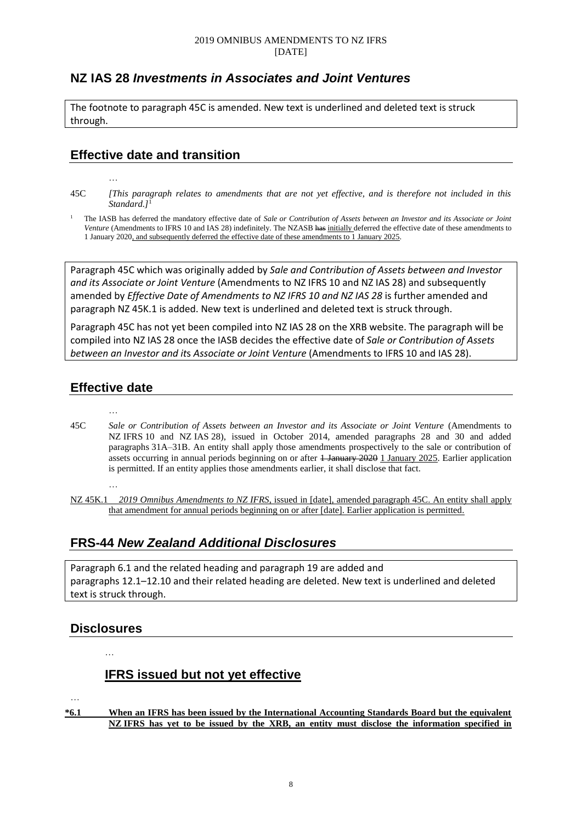## **NZ IAS 28** *Investments in Associates and Joint Ventures*

The footnote to paragraph 45C is amended. New text is underlined and deleted text is struck through.

### **Effective date and transition**

- 45C *[This paragraph relates to amendments that are not yet effective, and is therefore not included in this Standard.]*<sup>1</sup>
- <sup>1</sup> The IASB has deferred the mandatory effective date of *Sale or Contribution of Assets between an Investor and its Associate or Joint Venture* (Amendments to IFRS 10 and IAS 28) indefinitely. The NZASB has initially deferred the effective date of these amendments to 1 January 2020, and subsequently deferred the effective date of these amendments to 1 January 2025.

Paragraph 45C which was originally added by *Sale and Contribution of Assets between and Investor and its Associate or Joint Venture* (Amendments to NZ IFRS 10 and NZ IAS 28) and subsequently amended by *Effective Date of Amendments to NZ IFRS 10 and NZ IAS 28* is further amended and paragraph NZ 45K.1 is added. New text is underlined and deleted text is struck through.

Paragraph 45C has not yet been compiled into NZ IAS 28 on the XRB website. The paragraph will be compiled into NZ IAS 28 once the IASB decides the effective date of *Sale or Contribution of Assets between an Investor and it*s *Associate or Joint Venture* (Amendments to IFRS 10 and IAS 28).

## **Effective date**

…

…

- … 45C *Sale or Contribution of Assets between an Investor and its Associate or Joint Venture* (Amendments to NZ IFRS 10 and NZ IAS 28), issued in October 2014, amended paragraphs 28 and 30 and added paragraphs 31A–31B. An entity shall apply those amendments prospectively to the sale or contribution of assets occurring in annual periods beginning on or after 1 January 2020 1 January 2025. Earlier application is permitted. If an entity applies those amendments earlier, it shall disclose that fact.
	- NZ 45K.1 *2019 Omnibus Amendments to NZ IFRS*, issued in [date], amended paragraph 45C. An entity shall apply that amendment for annual periods beginning on or after [date]. Earlier application is permitted.

## **FRS-44** *New Zealand Additional Disclosures*

Paragraph 6.1 and the related heading and paragraph 19 are added and paragraphs 12.1–12.10 and their related heading are deleted. New text is underlined and deleted text is struck through.

## **Disclosures**

…

## **IFRS issued but not yet effective**

- …
- **\*6.1 When an IFRS has been issued by the International Accounting Standards Board but the equivalent NZ IFRS has yet to be issued by the XRB, an entity must disclose the information specified in**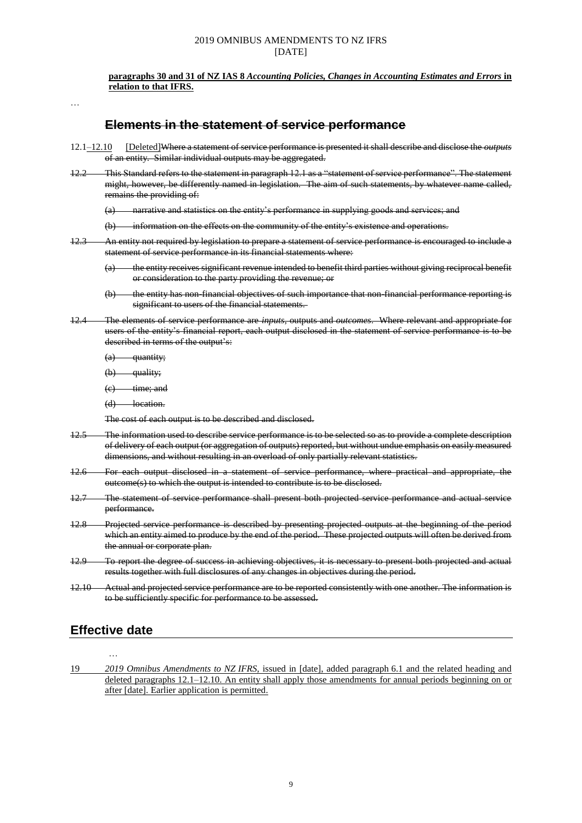**paragraphs 30 and 31 of NZ IAS 8** *Accounting Policies, Changes in Accounting Estimates and Errors* **in relation to that IFRS.**

…

### **Elements in the statement of service performance**

- 12.1–12.10 [Deleted]Where a statement of service performance is presented it shall describe and disclose the *outputs* of an entity. Similar individual outputs may be aggregated.
- 12.2 This Standard refers to the statement in paragraph 12.1 as a "statement of service performance". The statement might, however, be differently named in legislation. The aim of such statements, by whatever name called, remains the providing of:

(a) narrative and statistics on the entity's performance in supplying goods and services; and

(b) information on the effects on the community of the entity's existence and operations.

12.3 An entity not required by legislation to prepare a statement of service performance is encouraged to include a statement of service performance in its financial statements where:

(a) the entity receives significant revenue intended to benefit third parties without giving reciprocal benefit or consideration to the party providing the revenue; or

- (b) the entity has non-financial objectives of such importance that non-financial performance reporting is significant to users of the financial statements.
- 12.4 The elements of service performance are *inputs*, outputs and *outcomes*. Where relevant and appropriate for users of the entity's financial report, each output disclosed in the statement of service performance is to be described in terms of the output's:
	- $(a)$  quantity;
	- $(b)$  quality;
	- $(e)$  time; and
	- (d) location.

The cost of each output is to be described and disclosed.

- 12.5 The information used to describe service performance is to be selected so as to provide a complete description of delivery of each output (or aggregation of outputs) reported, but without undue emphasis on easily measured dimensions, and without resulting in an overload of only partially relevant statistics.
- 12.6 For each output disclosed in a statement of service performance, where practical and appropriate, the outcome(s) to which the output is intended to contribute is to be disclosed.
- 12.7 The statement of service performance shall present both projected service performance and actual service performance.
- 12.8 Projected service performance is described by presenting projected outputs at the beginning of the period which an entity aimed to produce by the end of the period. These projected outputs will often be derived from the annual or corporate plan.
- 12.9 To report the degree of success in achieving objectives, it is necessary to present both projected and actual results together with full disclosures of any changes in objectives during the period.
- 12.10 Actual and projected service performance are to be reported consistently with one another. The information is to be sufficiently specific for performance to be assessed.

### **Effective date**

…

19 *2019 Omnibus Amendments to NZ IFRS*, issued in [date], added paragraph 6.1 and the related heading and deleted paragraphs 12.1–12.10. An entity shall apply those amendments for annual periods beginning on or after [date]. Earlier application is permitted.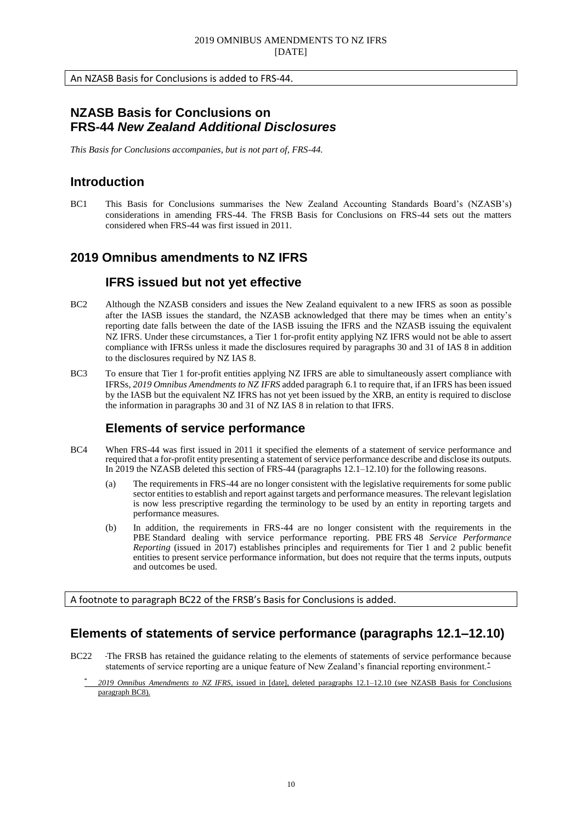An NZASB Basis for Conclusions is added to FRS-44.

## **NZASB Basis for Conclusions on FRS-44** *New Zealand Additional Disclosures*

*This Basis for Conclusions accompanies, but is not part of, FRS-44.*

## **Introduction**

BC1 This Basis for Conclusions summarises the New Zealand Accounting Standards Board's (NZASB's) considerations in amending FRS-44. The FRSB Basis for Conclusions on FRS-44 sets out the matters considered when FRS-44 was first issued in 2011.

## **2019 Omnibus amendments to NZ IFRS**

### **IFRS issued but not yet effective**

- BC2 Although the NZASB considers and issues the New Zealand equivalent to a new IFRS as soon as possible after the IASB issues the standard, the NZASB acknowledged that there may be times when an entity's reporting date falls between the date of the IASB issuing the IFRS and the NZASB issuing the equivalent NZ IFRS. Under these circumstances, a Tier 1 for-profit entity applying NZ IFRS would not be able to assert compliance with IFRSs unless it made the disclosures required by paragraphs 30 and 31 of IAS 8 in addition to the disclosures required by NZ IAS 8.
- BC3 To ensure that Tier 1 for-profit entities applying NZ IFRS are able to simultaneously assert compliance with IFRSs, *2019 Omnibus Amendments to NZ IFRS* added paragraph 6.1 to require that, if an IFRS has been issued by the IASB but the equivalent NZ IFRS has not yet been issued by the XRB, an entity is required to disclose the information in paragraphs 30 and 31 of NZ IAS 8 in relation to that IFRS.

### **Elements of service performance**

- BC4 When FRS-44 was first issued in 2011 it specified the elements of a statement of service performance and required that a for-profit entity presenting a statement of service performance describe and disclose its outputs. In 2019 the NZASB deleted this section of FRS-44 (paragraphs 12.1–12.10) for the following reasons.
	- (a) The requirements in FRS-44 are no longer consistent with the legislative requirements for some public sector entities to establish and report against targets and performance measures. The relevant legislation is now less prescriptive regarding the terminology to be used by an entity in reporting targets and performance measures.
	- (b) In addition, the requirements in FRS-44 are no longer consistent with the requirements in the PBE Standard dealing with service performance reporting. PBE FRS 48 *Service Performance Reporting* (issued in 2017) establishes principles and requirements for Tier 1 and 2 public benefit entities to present service performance information, but does not require that the terms inputs, outputs and outcomes be used.

A footnote to paragraph BC22 of the FRSB's Basis for Conclusions is added.

## **Elements of statements of service performance (paragraphs 12.1–12.10)**

- BC22 The FRSB has retained the guidance relating to the elements of statements of service performance because statements of service reporting are a unique feature of New Zealand's financial reporting environment.<sup>\*</sup>
	- \* *2019 Omnibus Amendments to NZ IFRS*, issued in [date], deleted paragraphs 12.1–12.10 (see NZASB Basis for Conclusions paragraph BC8).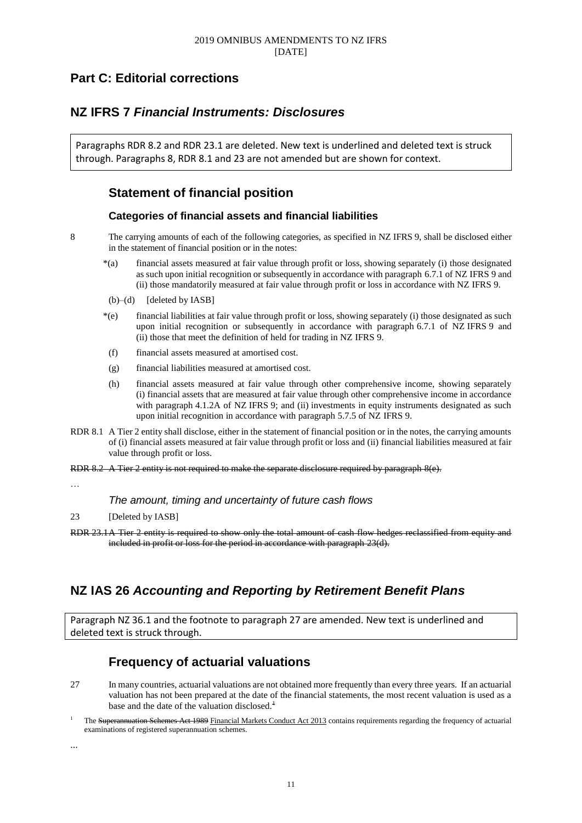## **Part C: Editorial corrections**

## **NZ IFRS 7** *Financial Instruments: Disclosures*

Paragraphs RDR 8.2 and RDR 23.1 are deleted. New text is underlined and deleted text is struck through. Paragraphs 8, RDR 8.1 and 23 are not amended but are shown for context.

## **Statement of financial position**

### **Categories of financial assets and financial liabilities**

8 The carrying amounts of each of the following categories, as specified in NZ IFRS 9, shall be disclosed either in the statement of financial position or in the notes:

- \*(a) financial assets measured at fair value through profit or loss, showing separately (i) those designated as such upon initial recognition or subsequently in accordance with paragraph 6.7.1 of NZ IFRS 9 and (ii) those mandatorily measured at fair value through profit or loss in accordance with NZ IFRS 9.
- $(b)$ – $(d)$  [deleted by IASB]
- \*(e) financial liabilities at fair value through profit or loss, showing separately (i) those designated as such upon initial recognition or subsequently in accordance with paragraph 6.7.1 of NZ IFRS 9 and (ii) those that meet the definition of held for trading in NZ IFRS 9.
- (f) financial assets measured at amortised cost.
- (g) financial liabilities measured at amortised cost.
- (h) financial assets measured at fair value through other comprehensive income, showing separately (i) financial assets that are measured at fair value through other comprehensive income in accordance with paragraph 4.1.2A of NZ IFRS 9; and (ii) investments in equity instruments designated as such upon initial recognition in accordance with paragraph 5.7.5 of NZ IFRS 9.
- RDR 8.1 A Tier 2 entity shall disclose, either in the statement of financial position or in the notes, the carrying amounts of (i) financial assets measured at fair value through profit or loss and (ii) financial liabilities measured at fair value through profit or loss.
- RDR 8.2 A Tier 2 entity is not required to make the separate disclosure required by paragraph 8(e).

…

### *The amount, timing and uncertainty of future cash flows*

- 23 [Deleted by IASB]
- RDR 23.1A Tier 2 entity is required to show only the total amount of cash flow hedges reclassified from equity and included in profit or loss for the period in accordance with paragraph 23(d).

## **NZ IAS 26** *Accounting and Reporting by Retirement Benefit Plans*

Paragraph NZ 36.1 and the footnote to paragraph 27 are amended. New text is underlined and deleted text is struck through.

## **Frequency of actuarial valuations**

- 27 In many countries, actuarial valuations are not obtained more frequently than every three years. If an actuarial valuation has not been prepared at the date of the financial statements, the most recent valuation is used as a base and the date of the valuation disclosed.<sup> $+$ </sup>
- The Superannuation Schemes Act 1989 Financial Markets Conduct Act 2013 contains requirements regarding the frequency of actuarial examinations of registered superannuation schemes.

...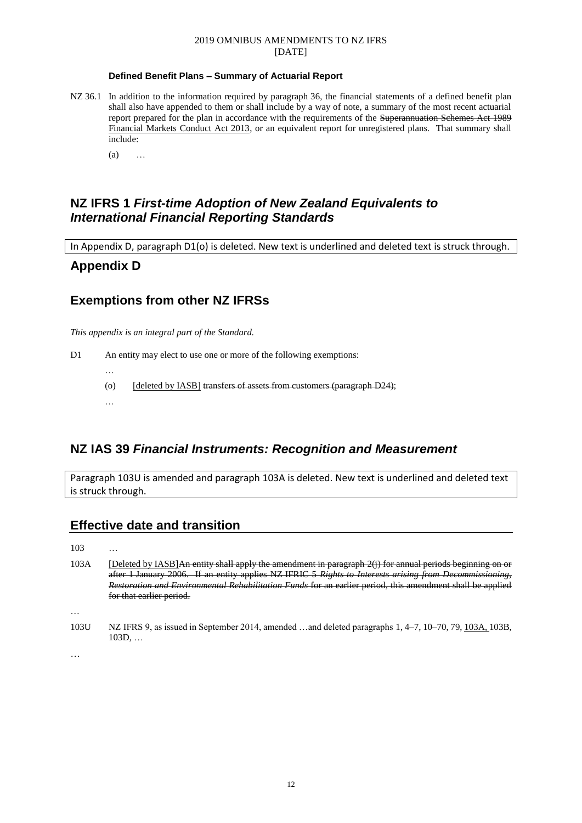#### **Defined Benefit Plans – Summary of Actuarial Report**

NZ 36.1 In addition to the information required by paragraph 36, the financial statements of a defined benefit plan shall also have appended to them or shall include by a way of note, a summary of the most recent actuarial report prepared for the plan in accordance with the requirements of the Superannuation Schemes Act 1989 Financial Markets Conduct Act 2013, or an equivalent report for unregistered plans. That summary shall include:

(a) …

### **NZ IFRS 1** *First-time Adoption of New Zealand Equivalents to International Financial Reporting Standards*

In Appendix D, paragraph D1(o) is deleted. New text is underlined and deleted text is struck through.

### **Appendix D**

### **Exemptions from other NZ IFRSs**

*This appendix is an integral part of the Standard.*

D1 An entity may elect to use one or more of the following exemptions:

- …
- (o) [deleted by IASB] transfers of assets from customers (paragraph D24);
- …

### **NZ IAS 39** *Financial Instruments: Recognition and Measurement*

Paragraph 103U is amended and paragraph 103A is deleted. New text is underlined and deleted text is struck through.

### **Effective date and transition**

103 …

103A [Deleted by IASB]An entity shall apply the amendment in paragraph 2(j) for annual periods beginning on or after 1 January 2006. If an entity applies NZ IFRIC 5 *Rights to Interests arising from Decommissioning, Restoration and Environmental Rehabilitation Funds* for an earlier period, this amendment shall be applied for that earlier period.

…

103U NZ IFRS 9, as issued in September 2014, amended …and deleted paragraphs 1, 4–7, 10–70, 79, 103A, 103B, 103D, …

…